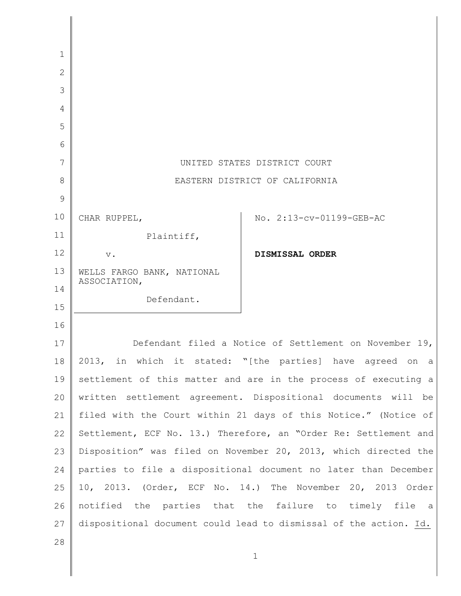| 1            |                                                                   |
|--------------|-------------------------------------------------------------------|
| $\mathbf{2}$ |                                                                   |
| 3            |                                                                   |
| 4            |                                                                   |
| 5            |                                                                   |
| 6            |                                                                   |
| 7            | UNITED STATES DISTRICT COURT                                      |
| 8            | EASTERN DISTRICT OF CALIFORNIA                                    |
| 9            |                                                                   |
| 10           | No. 2:13-cv-01199-GEB-AC<br>CHAR RUPPEL,                          |
| 11           | Plaintiff,                                                        |
| 12           | DISMISSAL ORDER<br>$V$ .                                          |
| 13           | WELLS FARGO BANK, NATIONAL                                        |
| 14           | ASSOCIATION,                                                      |
| 15           | Defendant.                                                        |
| 16           |                                                                   |
| 17           | Defendant filed a Notice of Settlement on November 19,            |
| 18           | 2013, in which it stated: "[the parties] have agreed on a         |
| 19           | settlement of this matter and are in the process of executing a   |
| 20           | written settlement agreement. Dispositional documents will be     |
| 21           | filed with the Court within 21 days of this Notice." (Notice of   |
| 22           | Settlement, ECF No. 13.) Therefore, an "Order Re: Settlement and  |
| 23           | Disposition" was filed on November 20, 2013, which directed the   |
| 24           | parties to file a dispositional document no later than December   |
| 25           | 10, 2013. (Order, ECF No. 14.) The November 20, 2013 Order        |
| 26           | notified the parties that the failure to timely file a            |
| 27           | dispositional document could lead to dismissal of the action. Id. |
| 28           |                                                                   |
|              | $\mathbf 1$                                                       |